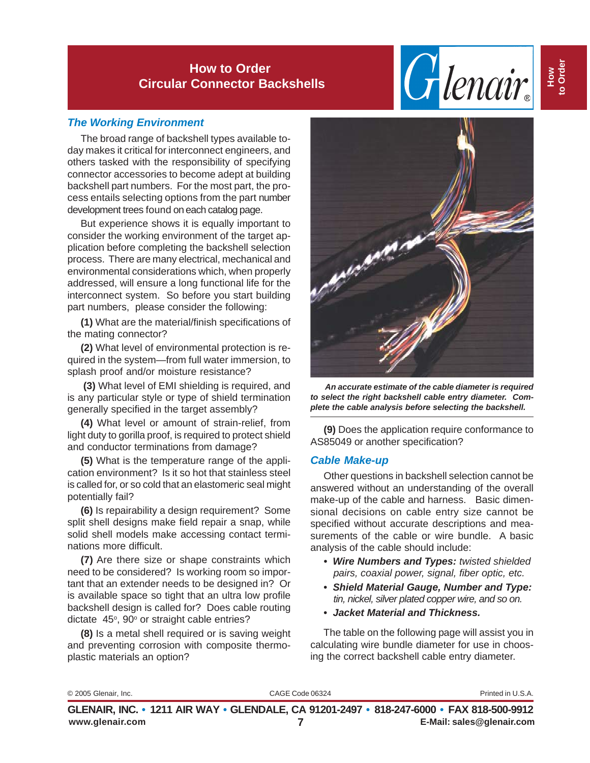# Glenair.

#### *The Working Environment*

The broad range of backshell types available today makes it critical for interconnect engineers, and others tasked with the responsibility of specifying connector accessories to become adept at building backshell part numbers. For the most part, the process entails selecting options from the part number development trees found on each catalog page.

But experience shows it is equally important to consider the working environment of the target application before completing the backshell selection process. There are many electrical, mechanical and environmental considerations which, when properly addressed, will ensure a long functional life for the interconnect system. So before you start building part numbers, please consider the following:

**(1)** What are the material/finish specifications of the mating connector?

**(2)** What level of environmental protection is required in the system—from full water immersion, to splash proof and/or moisture resistance?

 **(3)** What level of EMI shielding is required, and is any particular style or type of shield termination generally specified in the target assembly?

**(4)** What level or amount of strain-relief, from light duty to gorilla proof, is required to protect shield and conductor terminations from damage?

**(5)** What is the temperature range of the application environment? Is it so hot that stainless steel is called for, or so cold that an elastomeric seal might potentially fail?

**(6)** Is repairability a design requirement? Some split shell designs make field repair a snap, while solid shell models make accessing contact terminations more difficult.

**(7)** Are there size or shape constraints which need to be considered? Is working room so important that an extender needs to be designed in? Or is available space so tight that an ultra low profile backshell design is called for? Does cable routing dictate 45°, 90° or straight cable entries?

**(8)** Is a metal shell required or is saving weight and preventing corrosion with composite thermoplastic materials an option?



 *An accurate estimate of the cable diameter is required to select the right backshell cable entry diameter. Complete the cable analysis before selecting the backshell.*

**(9)** Does the application require conformance to AS85049 or another specification?

#### *Cable Make-up*

Other questions in backshell selection cannot be answered without an understanding of the overall make-up of the cable and harness. Basic dimensional decisions on cable entry size cannot be specified without accurate descriptions and measurements of the cable or wire bundle. A basic analysis of the cable should include:

- *Wire Numbers and Types: twisted shielded pairs, coaxial power, signal, fiber optic, etc.*
- *Shield Material Gauge, Number and Type: tin, nickel, silver plated copper wire, and so on.*
- *Jacket Material and Thickness.*

The table on the following page will assist you in calculating wire bundle diameter for use in choosing the correct backshell cable entry diameter.

|  | © 2005 Glenair, Inc. |  |
|--|----------------------|--|
|--|----------------------|--|

CAGE Code 06324 Printed in U.S.A.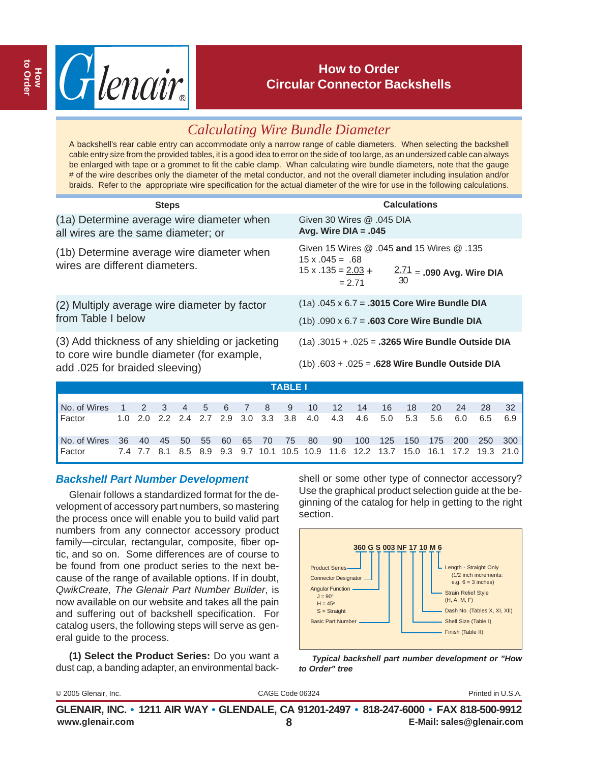

# *Calculating Wire Bundle Diameter*

A backshell's rear cable entry can accommodate only a narrow range of cable diameters. When selecting the backshell cable entry size from the provided tables, it is a good idea to error on the side of too large, as an undersized cable can always be enlarged with tape or a grommet to fit the cable clamp. Whan calculating wire bundle diameters, note that the gauge # of the wire describes only the diameter of the metal conductor, and not the overall diameter including insulation and/or braids. Refer to the appropriate wire specification for the actual diameter of the wire for use in the following calculations.

| <b>Steps</b>                                                                                                                    | <b>Calculations</b>                                                                                                                            |  |  |  |  |  |
|---------------------------------------------------------------------------------------------------------------------------------|------------------------------------------------------------------------------------------------------------------------------------------------|--|--|--|--|--|
| (1a) Determine average wire diameter when<br>all wires are the same diameter; or                                                | Given 30 Wires @ .045 DIA<br>Avg. Wire $DIA = .045$                                                                                            |  |  |  |  |  |
| (1b) Determine average wire diameter when<br>wires are different diameters.                                                     | Given 15 Wires @ .045 and 15 Wires @ .135<br>$15 \times 0.045 = 0.68$<br>$15 x .135 = 2.03 +$<br>$2.71 = .090$ Avg. Wire DIA<br>30<br>$= 2.71$ |  |  |  |  |  |
| (2) Multiply average wire diameter by factor<br>from Table I below                                                              | $(1a)$ .045 x 6.7 = .3015 Core Wire Bundle DIA<br>$(1b)$ .090 x 6.7 = .603 Core Wire Bundle DIA                                                |  |  |  |  |  |
| (3) Add thickness of any shielding or jacketing<br>to core wire bundle diameter (for example,<br>add .025 for braided sleeving) | $(1a)$ .3015 + .025 = .3265 Wire Bundle Outside DIA<br>$(1b) .603 + .025 = .628$ Wire Bundle Outside DIA                                       |  |  |  |  |  |
| TABLE I                                                                                                                         |                                                                                                                                                |  |  |  |  |  |

|                                                                           |  |  |  |  | . |  |                                                                                    |  |  |  |
|---------------------------------------------------------------------------|--|--|--|--|---|--|------------------------------------------------------------------------------------|--|--|--|
|                                                                           |  |  |  |  |   |  |                                                                                    |  |  |  |
| No. of Wires 1 2 3 4 5 6 7 8 9 10 12 14 16 18 20 24 28 32                 |  |  |  |  |   |  |                                                                                    |  |  |  |
| Factor                                                                    |  |  |  |  |   |  | 1.0 2.0 2.2 2.4 2.7 2.9 3.0 3.3 3.8 4.0 4.3 4.6 5.0 5.3 5.6 6.0 6.5 6.9            |  |  |  |
| No. of Wires 36 40 45 50 55 60 65 70 75 80 90 100 125 150 175 200 250 300 |  |  |  |  |   |  |                                                                                    |  |  |  |
| <b>Factor</b>                                                             |  |  |  |  |   |  | 7.4 7.7 8.1 8.5 8.9 9.3 9.7 10.1 10.5 10.9 11.6 12.2 13.7 15.0 16.1 17.2 19.3 21.0 |  |  |  |

#### *Backshell Part Number Development*

Glenair follows a standardized format for the development of accessory part numbers, so mastering the process once will enable you to build valid part numbers from any connector accessory product family—circular, rectangular, composite, fiber optic, and so on. Some differences are of course to be found from one product series to the next because of the range of available options. If in doubt, *QwikCreate, The Glenair Part Number Builder*, is now available on our website and takes all the pain and suffering out of backshell specification. For catalog users, the following steps will serve as general guide to the process.

**(1) Select the Product Series:** Do you want a dust cap, a banding adapter, an environmental backshell or some other type of connector accessory? Use the graphical product selection guide at the beginning of the catalog for help in getting to the right section.



*Typical backshell part number development or "How to Order" tree*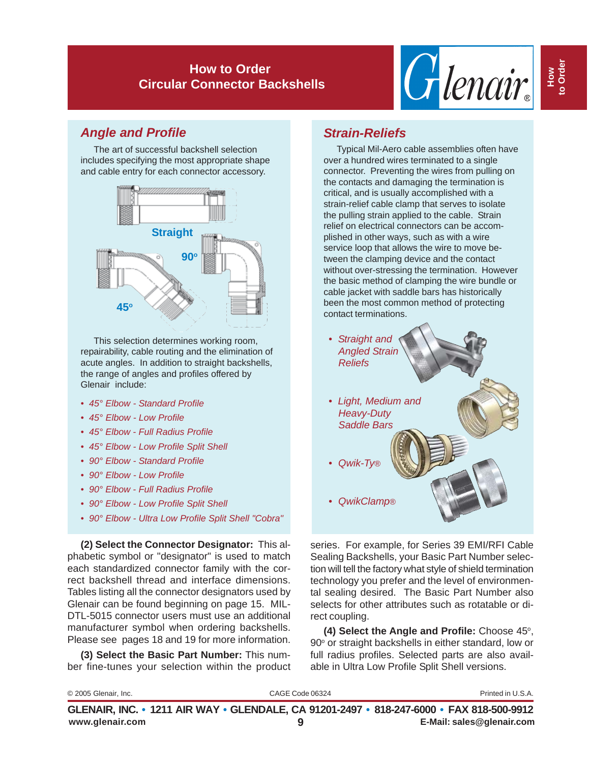

# *Angle and Profile*

The art of successful backshell selection includes specifying the most appropriate shape and cable entry for each connector accessory.



This selection determines working room, repairability, cable routing and the elimination of acute angles. In addition to straight backshells, the range of angles and profiles offered by Glenair include:

- *45° Elbow Standard Profile*
- *45° Elbow Low Profile*
- *45° Elbow Full Radius Profile*
- *45° Elbow Low Profile Split Shell*
- *90° Elbow Standard Profile*
- *90° Elbow Low Profile*
- *90° Elbow Full Radius Profile*
- *90° Elbow Low Profile Split Shell*
- *90° Elbow Ultra Low Profile Split Shell "Cobra"*

**(2) Select the Connector Designator:** This alphabetic symbol or "designator" is used to match each standardized connector family with the correct backshell thread and interface dimensions. Tables listing all the connector designators used by Glenair can be found beginning on page 15. MIL-DTL-5015 connector users must use an additional manufacturer symbol when ordering backshells. Please see pages 18 and 19 for more information.

**(3) Select the Basic Part Number:** This number fine-tunes your selection within the product

#### *Strain-Reliefs*

Typical Mil-Aero cable assemblies often have over a hundred wires terminated to a single connector. Preventing the wires from pulling on the contacts and damaging the termination is critical, and is usually accomplished with a strain-relief cable clamp that serves to isolate the pulling strain applied to the cable. Strain relief on electrical connectors can be accomplished in other ways, such as with a wire service loop that allows the wire to move between the clamping device and the contact without over-stressing the termination. However the basic method of clamping the wire bundle or cable jacket with saddle bars has historically been the most common method of protecting contact terminations.



series. For example, for Series 39 EMI/RFI Cable Sealing Backshells, your Basic Part Number selection will tell the factory what style of shield termination technology you prefer and the level of environmental sealing desired. The Basic Part Number also selects for other attributes such as rotatable or direct coupling.

(4) Select the Angle and Profile: Choose 45°,  $90^\circ$  or straight backshells in either standard, low or full radius profiles. Selected parts are also available in Ultra Low Profile Split Shell versions.

| © 2005 Glenair, Inc. | CAGE Code 06324                                                                          | Printed in U.S.A.         |
|----------------------|------------------------------------------------------------------------------------------|---------------------------|
|                      | GLENAIR, INC. • 1211 AIR WAY • GLENDALE, CA 91201-2497 • 818-247-6000 • FAX 818-500-9912 |                           |
| www.glenair.com      |                                                                                          | E-Mail: sales@glenair.com |

**How to Order**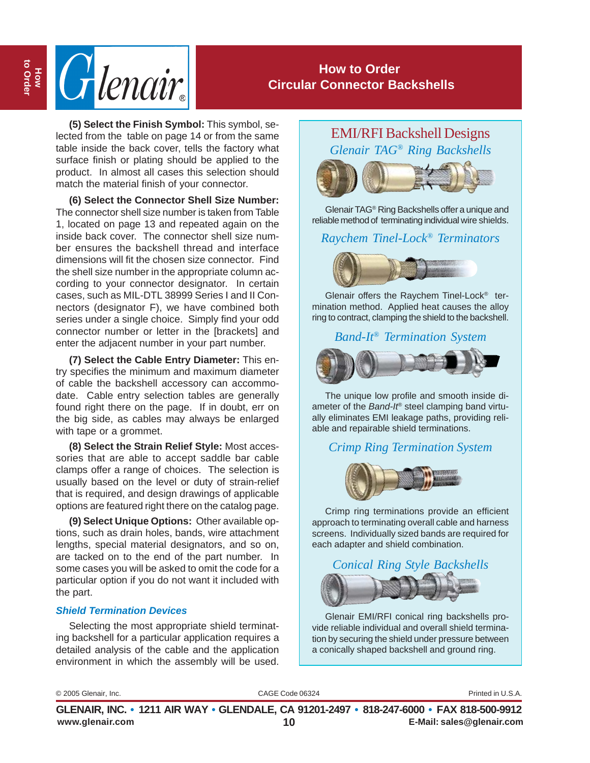

(5) Select the Finish Symbol: This symbol, se-<br>lected from the table on page 14 or from the same<br>EMI/RFI Backshell Designs table inside the back cover, tells the factory what surface finish or plating should be applied to the product. In almost all cases this selection should match the material finish of your connector.

**(6) Select the Connector Shell Size Number:** The connector shell size number is taken from Table 1, located on page 13 and repeated again on the inside back cover. The connector shell size number ensures the backshell thread and interface dimensions will fit the chosen size connector. Find the shell size number in the appropriate column according to your connector designator. In certain cases, such as MIL-DTL 38999 Series I and II Connectors (designator F), we have combined both series under a single choice. Simply find your odd connector number or letter in the [brackets] and enter the adjacent number in your part number.

**(7) Select the Cable Entry Diameter:** This entry specifies the minimum and maximum diameter of cable the backshell accessory can accommodate. Cable entry selection tables are generally found right there on the page. If in doubt, err on the big side, as cables may always be enlarged with tape or a grommet.

**(8) Select the Strain Relief Style:** Most accessories that are able to accept saddle bar cable clamps offer a range of choices. The selection is usually based on the level or duty of strain-relief that is required, and design drawings of applicable options are featured right there on the catalog page.

**(9) Select Unique Options:** Other available options, such as drain holes, bands, wire attachment lengths, special material designators, and so on, are tacked on to the end of the part number. In some cases you will be asked to omit the code for a particular option if you do not want it included with the part.

#### *Shield Termination Devices*

Selecting the most appropriate shield terminating backshell for a particular application requires a detailed analysis of the cable and the application environment in which the assembly will be used. *Glenair TAG® Ring Backshells*



Glenair TAG® Ring Backshells offer a unique and reliable method of terminating individual wire shields.

#### *Raychem Tinel-Lock® Terminators*



Glenair offers the Raychem Tinel-Lock® termination method. Applied heat causes the alloy ring to contract, clamping the shield to the backshell.

#### *Band-It*® *Termination System*



The unique low profile and smooth inside diameter of the *Band-It*® steel clamping band virtually eliminates EMI leakage paths, providing reliable and repairable shield terminations.

#### *Crimp Ring Termination System*



Crimp ring terminations provide an efficient approach to terminating overall cable and harness screens. Individually sized bands are required for each adapter and shield combination.

# *Conical Ring Style Backshells*

Glenair EMI/RFI conical ring backshells provide reliable individual and overall shield termination by securing the shield under pressure between a conically shaped backshell and ground ring.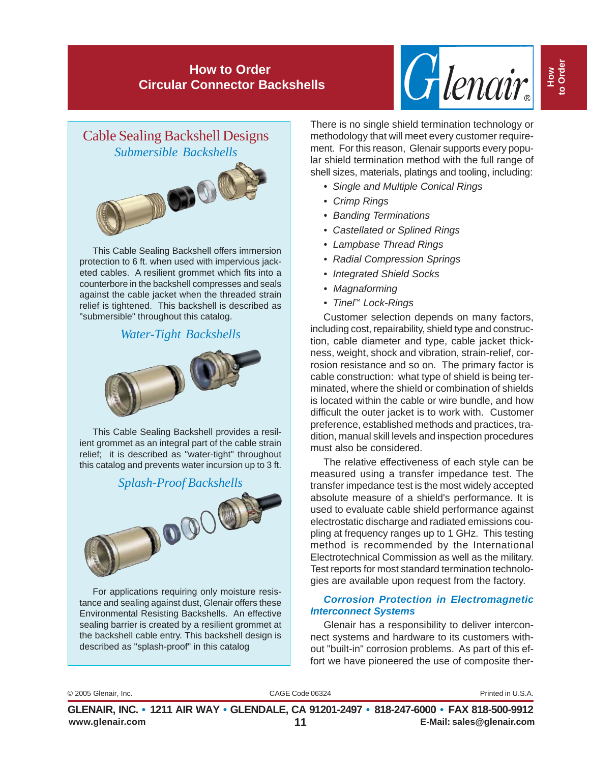



This Cable Sealing Backshell offers immersion protection to 6 ft. when used with impervious jacketed cables. A resilient grommet which fits into a counterbore in the backshell compresses and seals against the cable jacket when the threaded strain relief is tightened. This backshell is described as "submersible" throughout this catalog.

#### *Water-Tight Backshells*



This Cable Sealing Backshell provides a resilient grommet as an integral part of the cable strain relief; it is described as "water-tight" throughout this catalog and prevents water incursion up to 3 ft.



For applications requiring only moisture resistance and sealing against dust, Glenair offers these Environmental Resisting Backshells. An effective sealing barrier is created by a resilient grommet at the backshell cable entry. This backshell design is described as "splash-proof" in this catalog

There is no single shield termination technology or methodology that will meet every customer requirement. For this reason, Glenair supports every popular shield termination method with the full range of shell sizes, materials, platings and tooling, including:

- *Single and Multiple Conical Rings*
- *Crimp Rings*
- *Banding Terminations*
- *Castellated or Splined Rings*
- *Lampbase Thread Rings*
- *Radial Compression Springs*
- *Integrated Shield Socks*
- *Magnaforming*
- *Tinel™ Lock-Rings*

Customer selection depends on many factors, including cost, repairability, shield type and construction, cable diameter and type, cable jacket thickness, weight, shock and vibration, strain-relief, corrosion resistance and so on. The primary factor is cable construction: what type of shield is being terminated, where the shield or combination of shields is located within the cable or wire bundle, and how difficult the outer jacket is to work with. Customer preference, established methods and practices, tradition, manual skill levels and inspection procedures must also be considered.

The relative effectiveness of each style can be measured using a transfer impedance test. The transfer impedance test is the most widely accepted absolute measure of a shield's performance. It is used to evaluate cable shield performance against electrostatic discharge and radiated emissions coupling at frequency ranges up to 1 GHz. This testing method is recommended by the International Electrotechnical Commission as well as the military. Test reports for most standard termination technologies are available upon request from the factory.

#### *Corrosion Protection in Electromagnetic Interconnect Systems*

Glenair has a responsibility to deliver interconnect systems and hardware to its customers without "built-in" corrosion problems. As part of this effort we have pioneered the use of composite ther-